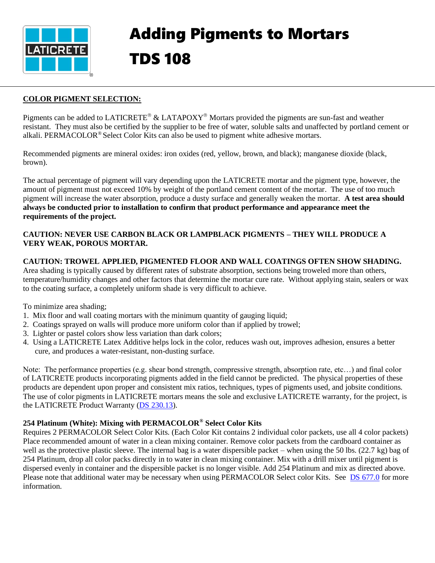

#### **COLOR PIGMENT SELECTION:**

Pigments can be added to LATICRETE<sup>®</sup> & LATAPOXY<sup>®</sup> Mortars provided the pigments are sun-fast and weather resistant. They must also be certified by the supplier to be free of water, soluble salts and unaffected by portland cement or alkali PERMACOLOR® Select Color Kits can also be used to pigment white adhesive mortars alkali. PERMACOLOR® Select Color Kits can also be used to pigment white adhesive mortars.

Recommended pigments are mineral oxides: iron oxides (red, yellow, brown, and black); manganese dioxide (black, brown).

The actual percentage of pigment will vary depending upon the LATICRETE mortar and the pigment type, however, the amount of pigment must not exceed 10% by weight of the portland cement content of the mortar. The use of too much pigment will increase the water absorption, produce a dusty surface and generally weaken the mortar. **A test area should always be conducted prior to installation to confirm that product performance and appearance meet the requirements of the project.**

### **CAUTION: NEVER USE CARBON BLACK OR LAMPBLACK PIGMENTS – THEY WILL PRODUCE A VERY WEAK, POROUS MORTAR.**

#### **CAUTION: TROWEL APPLIED, PIGMENTED FLOOR AND WALL COATINGS OFTEN SHOW SHADING.**

Area shading is typically caused by different rates of substrate absorption, sections being troweled more than others, temperature/humidity changes and other factors that determine the mortar cure rate. Without applying stain, sealers or wax to the coating surface, a completely uniform shade is very difficult to achieve.

To minimize area shading;

- 1. Mix floor and wall coating mortars with the minimum quantity of gauging liquid;
- 2. Coatings sprayed on walls will produce more uniform color than if applied by trowel;
- 3. Lighter or pastel colors show less variation than dark colors;
- 4. Using a LATICRETE Latex Additive helps lock in the color, reduces wash out, improves adhesion, ensures a better cure, and produces a water-resistant, non-dusting surface.

Note: The performance properties (e.g. shear bond strength, compressive strength, absorption rate, etc…) and final color of LATICRETE products incorporating pigments added in the field cannot be predicted. The physical properties of these products are dependent upon proper and consistent mix ratios, techniques, types of pigments used, and jobsite conditions. The use of color pigments in LATICRETE mortars means the sole and exclusive LATICRETE warranty, for the project, is the LATICRETE Product Warranty [\(DS 230.13\)](http://www.laticrete.com/Portals/0/datasheets/DS23013.pdf).

# **254 Platinum (White): Mixing with PERMACOLOR® Select Color Kits**

Requires 2 PERMACOLOR Select Color Kits. (Each Color Kit contains 2 individual color packets, use all 4 color packets) Place recommended amount of water in a clean mixing container. Remove color packets from the cardboard container as well as the protective plastic sleeve. The internal bag is a water dispersible packet – when using the 50 lbs. (22.7 kg) bag of 254 Platinum, drop all color packs directly in to water in clean mixing container. Mix with a drill mixer until pigment is dispersed evenly in container and the dispersible packet is no longer visible. Add 254 Platinum and mix as directed above. Please note that additional water may be necessary when using PERMACOLOR Select color Kits. See [DS 677.0](https://cdn.laticrete.com/~/media/product-documents/product-data-sheets/ds-677.ashx) for more information.